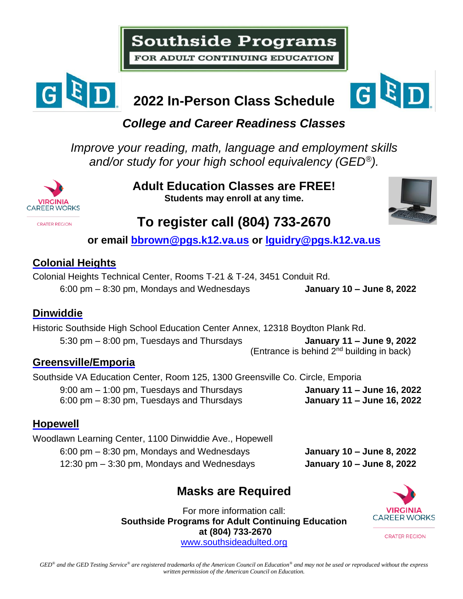# **Southside Programs**

FOR ADULT CONTINUING EDUCATION



## **2022 In-Person Class Schedule**



#### *College and Career Readiness Classes*

*Improve your reading, math, language and employment skills and/or study for your high school equivalency (GED®).*



**Adult Education Classes are FREE! Students may enroll at any time.**



### **To register call (804) 733-2670**

**or email [bbrown@pgs.k12.va.us](mailto:bbrown@pgs.k12.va.us) or [lguidry@pgs.k12.va.us](mailto:lguidry@pgs.k12.va.us)**

#### **Colonial Heights**

Colonial Heights Technical Center, Rooms T-21 & T-24, 3451 Conduit Rd. 6:00 pm – 8:30 pm, Mondays and Wednesdays **January 10 – June 8, 2022**

#### **Dinwiddie**

Historic Southside High School Education Center Annex, 12318 Boydton Plank Rd. 5:30 pm – 8:00 pm, Tuesdays and Thursdays **January 11 – June 9, 2022** (Entrance is behind 2nd building in back)

#### **Greensville/Emporia**

Southside VA Education Center, Room 125, 1300 Greensville Co. Circle, Emporia

9:00 am – 1:00 pm, Tuesdays and Thursdays **January 11 – June 16, 2022** 6:00 pm – 8:30 pm, Tuesdays and Thursdays **January 11 – June 16, 2022**

#### **Hopewell**

Woodlawn Learning Center, 1100 Dinwiddie Ave., Hopewell 6:00 pm – 8:30 pm, Mondays and Wednesdays **January 10 – June 8, 2022** 12:30 pm – 3:30 pm, Mondays and Wednesdays **January 10 – June 8, 2022**

#### **Masks are Required**

For more information call: **Southside Programs for Adult Continuing Education at (804) 733-2670** [www.southsideadulted.org](http://www.southsideadulted.org/)



**CRATER REGION**